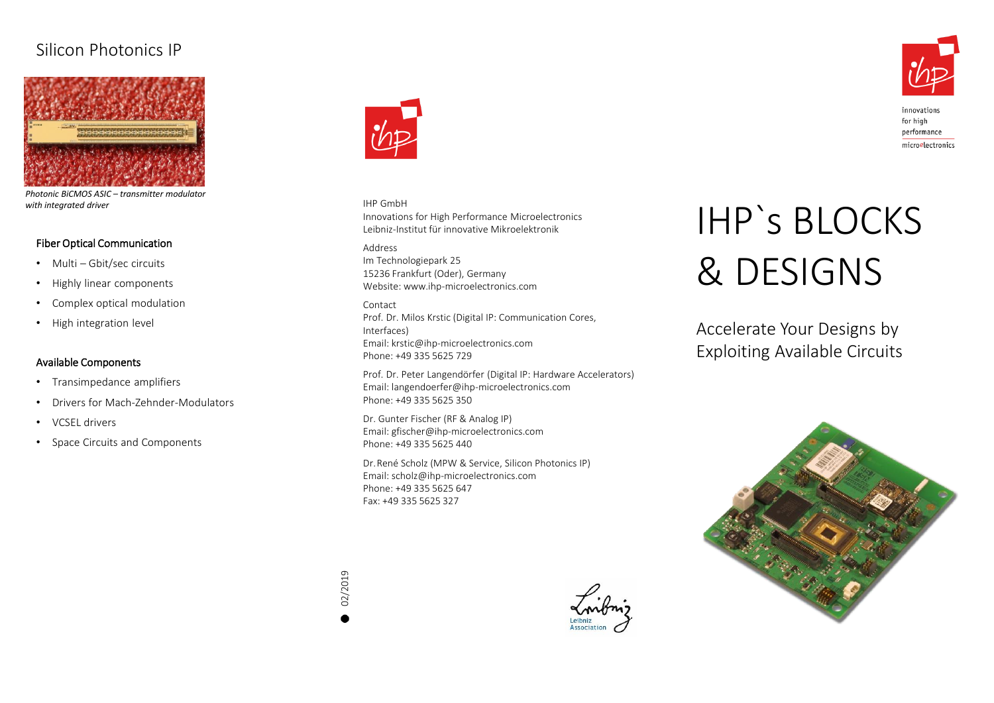## Silicon Photonics IP



*Photonic BiCMOS ASIC – transmitter modulator with integrated driver*

#### Fiber Optical Communication

- Multi Gbit/sec circuits
- Highly linear components
- Complex optical modulation
- High integration level

#### Available Components

- Transimpedance amplifiers
- Drivers for Mach-Zehnder-Modulators
- VCSEL drivers
- Space Circuits and Components



### IHP GmbH

Innovations for High Performance Microelectronics Leibniz-Institut für innovative Mikroelektronik

#### Address

Im Technologiepark 25 15236 Frankfurt (Oder), Germany Website: www.ihp-microelectronics.com

#### Contact

Prof. Dr. Milos Krstic (Digital IP: Communication Cores, Interfaces) Email: krstic@ihp-microelectronics.com Phone: +49 335 5625 729

Prof. Dr. Peter Langendörfer (Digital IP: Hardware Accelerators) Email: langendoerfer@ihp-microelectronics.com Phone: +49 335 5625 350

Dr. Gunter Fischer (RF & Analog IP) Email: gfischer@ihp-microelectronics.com Phone: +49 335 5625 440

Dr. René Scholz (MPW & Service, Silicon Photonics IP) Email: scholz@ihp-microelectronics.com Phone: +49 335 5625 647 Fax: +49 335 5625 327

# IHP`s BLOCKS & DESIGNS

Accelerate Your Designs by Exploiting Available Circuits





innovations for high performance microelectronics

02/2019